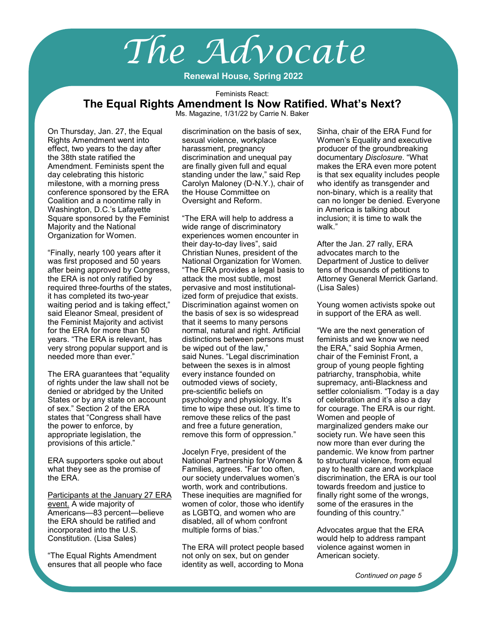# *The Advocate*

#### **Renewal House, Spring 2022**

Feminists React: **The Equal Rights Amendment Is Now Ratified. What's Next?**

Ms. Magazine, 1/31/22 by Carrie N. Baker

On Thursday, Jan. 27, the Equal Rights Amendment [went into](https://msmagazine.com/2022/01/27/equal-rights-amendment-resolution-us-house-28th-amendment-constitution/)  [effect,](https://msmagazine.com/2022/01/27/equal-rights-amendment-resolution-us-house-28th-amendment-constitution/) two years to the day after the 38th state ratified the Amendment. Feminists spent the day celebrating this historic milestone, with a morning [press](https://www.youtube.com/watch?v=sOlNl59QjNI)  [conference](https://www.youtube.com/watch?v=sOlNl59QjNI) sponsored by the ERA Coalition and a noontime [rally](https://www.youtube.com/watch?v=hILLB85xZPY) in Washington, D.C.'s Lafayette Square sponsored by the Feminist Majority and the National Organization for Women.

"Finally, nearly 100 years after it was first proposed and 50 years after being approved by Congress, the ERA is not only ratified by required three-fourths of the states, it has completed its two-year waiting period and is taking effect," said Eleanor Smeal, president of the Feminist Majority and activist for the ERA for more than 50 years. "The ERA is relevant, has very [strong popular support](https://msmagazine.com/2020/05/14/public-support-for-equal-rights-amendment-is-sky-high/) and is needed more than ever."

The ERA guarantees that "equality of rights under the law shall not be denied or abridged by the United States or by any state on account of sex." Section 2 of the ERA states that "Congress shall have the power to enforce, by appropriate legislation, the provisions of this article."

ERA supporters spoke out about what they see as the promise of the ERA.

Participants at the January 27 ERA event. A wide majority of Americans—83 percent—believe the ERA should be ratified and incorporated into the U.S. Constitution. (Lisa Sales)

"The Equal Rights Amendment ensures that all people who face discrimination on the basis of sex, sexual violence, workplace harassment, pregnancy discrimination and unequal pay are finally given full and equal standing under the law," said Rep Carolyn Maloney (D-N.Y.), chair of the House Committee on Oversight and Reform.

"The ERA will help to address a wide range of discriminatory experiences women encounter in their day-to-day lives", said Christian Nunes, president of the National Organization for Women. "The ERA provides a legal basis to attack the most subtle, most pervasive and most institutionalized form of prejudice that exists. Discrimination against women on the basis of sex is so widespread that it seems to many persons normal, natural and right. Artificial distinctions between persons must be wiped out of the law," said Nunes. "Legal discrimination between the sexes is in almost every instance founded on outmoded views of society, pre-scientific beliefs on psychology and physiology. It's time to wipe these out. It's time to remove these relics of the past and free a future generation, remove this form of oppression."

Jocelyn Frye, president of the National Partnership for Women & Families, [agrees.](https://oversight.house.gov/news/press-releases/maloney-and-speier-unveil-resolution-recognizing-the-equal-rights-amendment-as#:~:text=On%20January%2027%2C%202020%2C%20the,effect%20two%20years%20after%20ratification.) "Far too often, our society undervalues women's worth, work and contributions. These inequities are magnified for women of color, those who identify as LGBTQ, and women who are disabled, all of whom confront multiple forms of bias."

The ERA will protect people based not only on sex, but on gender identity as well, according to Mona

Sinha, chair of the ERA Fund for Women's Equality and executive producer of the groundbreaking documentary *[Disclosure](https://www.disclosurethemovie.com/about)*. "What makes the ERA even more potent is that sex equality includes people who identify as transgender and non-binary, which is a reality that can no longer be denied. Everyone in America is talking about inclusion; it is time to walk the walk."

After the Jan. 27 rally, ERA advocates march to the Department of Justice to deliver tens of thousands of petitions to Attorney General Merrick Garland. (Lisa Sales)

Young women activists spoke out in support of the ERA as well.

"We are the next generation of feminists and we know we need the ERA," [said](https://www.youtube.com/watch?v=sOlNl59QjNI) Sophia Armen, chair of the Feminist Front, a group of young people fighting patriarchy, transphobia, white supremacy, anti-Blackness and settler colonialism. "Today is a day of celebration and it's also a day for courage. The ERA is our right. Women and people of marginalized genders make our society run. We have seen this now more than ever during the pandemic. We know from partner to structural violence, from equal pay to health care and workplace discrimination, the ERA is our tool towards freedom and justice to finally right some of the wrongs, some of the erasures in the founding of this country."

Advocates argue that the ERA would help to address [rampant](https://nnedv.org/resources-library/domestic-violence-sexual-assault-factsheet/)  [violence against women](https://nnedv.org/resources-library/domestic-violence-sexual-assault-factsheet/) in American society.

*Continued on page 5*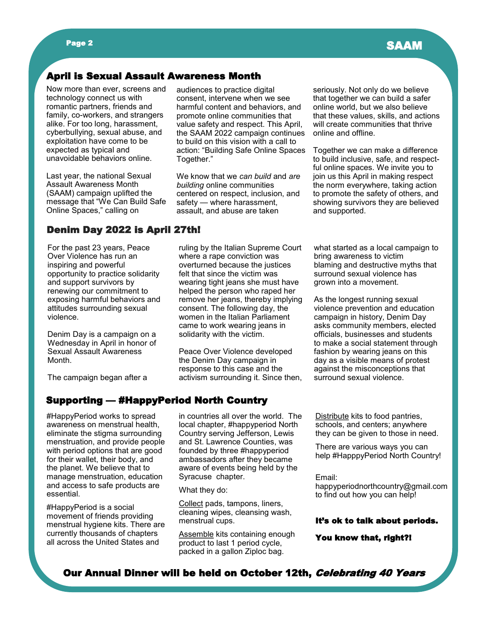## Page 2 SAAM

### April is Sexual Assault Awareness Month

Now more than ever, screens and technology connect us with romantic partners, friends and family, co-workers, and strangers alike. For too long, harassment, cyberbullying, sexual abuse, and exploitation have come to be expected as typical and unavoidable behaviors online.

Last year, the national Sexual Assault Awareness Month (SAAM) campaign uplifted the message that "We Can Build Safe Online Spaces," calling on

#### Denim Day 2022 is April 27th!

For the past 23 years, Peace Over Violence has run an inspiring and powerful opportunity to practice solidarity and support survivors by renewing our commitment to exposing harmful behaviors and attitudes surrounding sexual violence.

Denim Day is a campaign on a Wednesday in April in honor of Sexual Assault Awareness Month.

The campaign began after a

Supporting — #HappyPeriod North Country

#HappyPeriod works to spread awareness on menstrual health, eliminate the stigma surrounding menstruation, and provide people with period options that are good for their wallet, their body, and the planet. We believe that to manage menstruation, education and access to safe products are essential.

#HappyPeriod is a social movement of friends providing menstrual hygiene kits. There are currently thousands of chapters all across the United States and

audiences to practice digital consent, intervene when we see harmful content and behaviors, and promote online communities that value safety and respect. This April, the SAAM 2022 campaign continues to build on this vision with a call to action: "Building Safe Online Spaces Together."

We know that we *can build* and *are building* online communities centered on respect, inclusion, and safety — where harassment, assault, and abuse are taken

ruling by the Italian Supreme Court where a rape conviction was overturned because the justices felt that since the victim was wearing tight jeans she must have helped the person who raped her remove her jeans, thereby implying consent. The following day, the women in the Italian Parliament came to work wearing jeans in solidarity with the victim.

Peace Over Violence developed the Denim Day campaign in response to this case and the activism surrounding it. Since then, seriously. Not only do we believe that together we can build a safer online world, but we also believe that these values, skills, and actions will create communities that thrive online and offline.

Together we can make a difference to build inclusive, safe, and respectful online spaces. We invite you to join us this April in making respect the norm everywhere, taking action to promote the safety of others, and showing survivors they are believed and supported.

what started as a local campaign to bring awareness to victim blaming and destructive myths that surround sexual violence has grown into a movement.

As the longest running sexual violence prevention and education campaign in history, Denim Day asks community members, elected officials, businesses and students to make a social statement through fashion by wearing jeans on this day as a visible means of protest against the misconceptions that surround sexual violence.

in countries all over the world. The local chapter, #happyperiod North Country serving Jefferson, Lewis and St. Lawrence Counties, was founded by three #happyperiod ambassadors after they became aware of events being held by the Syracuse chapter.

What they do:

Collect pads, tampons, liners, cleaning wipes, cleansing wash, menstrual cups.

Assemble kits containing enough product to last 1 period cycle, packed in a gallon Ziploc bag.

Distribute kits to food pantries, schools, and centers; anywhere they can be given to those in need.

There are various ways you can help #HapppyPeriod North Country!

Email:

happyperiodnorthcountry@gmail.com to find out how you can help!

#### It's ok to talk about periods.

You know that, right?!

Our Annual Dinner will be held on October 12th, Celebrating 40 Years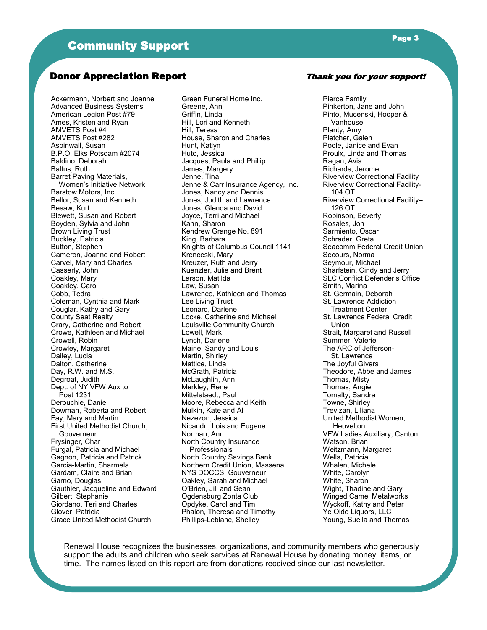## Community Support

#### Donor Appreciation Report Thank you for your support!

Ackermann, Norbert and Joanne Advanced Business Systems American Legion Post #79 Ames, Kristen and Ryan AMVETS Post #4 AMVETS Post #282 Aspinwall, Susan B.P.O. Elks Potsdam #2074 Baldino, Deborah Baltus, Ruth Barret Paving Materials, Women's Initiative Network Barstow Motors, Inc. Bellor, Susan and Kenneth Besaw, Kurt Blewett, Susan and Robert Boyden, Sylvia and John Brown Living Trust Buckley, Patricia Button, Stephen Cameron, Joanne and Robert Carvel, Mary and Charles Casserly, John Coakley, Mary Coakley, Carol Cobb, Tedra Coleman, Cynthia and Mark Couglar, Kathy and Gary County Seat Realty Crary, Catherine and Robert Crowe, Kathleen and Michael Crowell, Robin Crowley, Margaret Dailey, Lucia Dalton, Catherine Day, R.W. and M.S. Degroat, Judith Dept. of NY VFW Aux to Post 1231 Derouchie, Daniel Dowman, Roberta and Robert Fay, Mary and Martin First United Methodist Church, Gouverneur Frysinger, Char Furgal, Patricia and Michael Gagnon, Patricia and Patrick Garcia-Martin, Sharmela Gardam, Claire and Brian Garno, Douglas Gauthier, Jacqueline and Edward Gilbert, Stephanie Giordano, Teri and Charles Glover, Patricia Grace United Methodist Church

Green Funeral Home Inc. Greene, Ann Griffin, Linda Hill, Lori and Kenneth Hill, Teresa House, Sharon and Charles Hunt, Katlyn Huto, Jessica Jacques, Paula and Phillip James, Margery Jenne, Tina Jenne & Carr Insurance Agency, Inc. Jones, Nancy and Dennis Jones, Judith and Lawrence Jones, Glenda and David Joyce, Terri and Michael Kahn, Sharon Kendrew Grange No. 891 King, Barbara Knights of Columbus Council 1141 Krenceski, Mary Kreuzer, Ruth and Jerry Kuenzler, Julie and Brent Larson, Matilda Law, Susan Lawrence, Kathleen and Thomas Lee Living Trust Leonard, Darlene Locke, Catherine and Michael Louisville Community Church Lowell, Mark Lynch, Darlene Maine, Sandy and Louis Martin, Shirley Mattice, Linda McGrath, Patricia McLaughlin, Ann Merkley, Rene Mittelstaedt, Paul Moore, Rebecca and Keith Mulkin, Kate and Al Nezezon, Jessica Nicandri, Lois and Eugene Norman, Ann North Country Insurance Professionals North Country Savings Bank Northern Credit Union, Massena NYS DOCCS, Gouverneur Oakley, Sarah and Michael O'Brien, Jill and Sean Ogdensburg Zonta Club Opdyke, Carol and Tim Phalon, Theresa and Timothy Phillips-Leblanc, Shelley

Pierce Family Pinkerton, Jane and John Pinto, Mucenski, Hooper & Vanhouse Planty, Amy Pletcher, Galen Poole, Janice and Evan Proulx, Linda and Thomas Ragan, Avis Richards, Jerome Riverview Correctional Facility Riverview Correctional Facility- 104 OT Riverview Correctional Facility– 126 OT Robinson, Beverly Rosales, Jon Sarmiento, Oscar Schrader, Greta Seacomm Federal Credit Union Secours, Norma Seymour, Michael Sharfstein, Cindy and Jerry SLC Conflict Defender's Office Smith, Marina St. Germain, Deborah St. Lawrence Addiction Treatment Center St. Lawrence Federal Credit Union Strait, Margaret and Russell Summer, Valerie The ARC of Jefferson- St. Lawrence The Joyful Givers Theodore, Abbe and James Thomas, Misty Thomas, Angie Tomalty, Sandra Towne, Shirley Trevizan, Liliana United Methodist Women, **Heuvelton** VFW Ladies Auxiliary, Canton Watson, Brian Weitzmann, Margaret Wells, Patricia Whalen, Michele White, Carolyn White, Sharon Wight, Thadine and Gary Winged Camel Metalworks Wyckoff, Kathy and Peter Ye Olde Liquors, LLC Young, Suella and Thomas

Renewal House recognizes the businesses, organizations, and community members who generously support the adults and children who seek services at Renewal House by donating money, items, or time. The names listed on this report are from donations received since our last newsletter.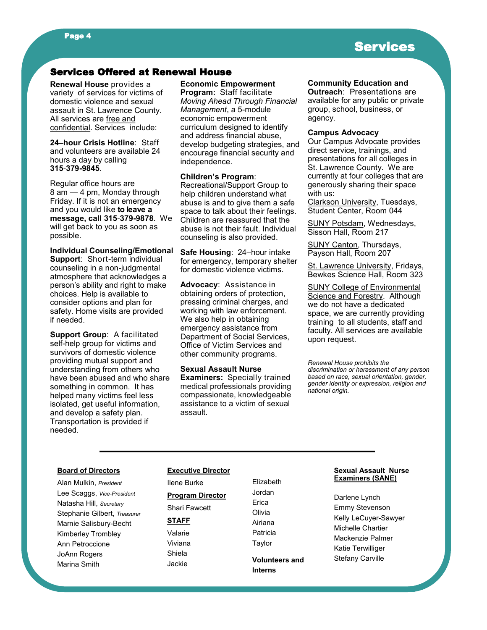#### Page 4

#### Services Offered at Renewal House

**Renewal House** provides a variety of services for victims of domestic violence and sexual assault in St. Lawrence County. All services are free and confidential. Services include:

**24–hour Crisis Hotline**: Staff and volunteers are available 24 hours a day by calling **315**-**379-9845**.

Regular office hours are 8 am — 4 pm, Monday through Friday. If it is not an emergency and you would like **to leave a message, call 315**-**379-9878**. We will get back to you as soon as possible.

**Individual Counseling/Emotional** 

**Support**: Short-term individual counseling in a non-judgmental atmosphere that acknowledges a person's ability and right to make choices. Help is available to consider options and plan for safety. Home visits are provided if needed.

**Support Group**: A facilitated self-help group for victims and survivors of domestic violence providing mutual support and understanding from others who have been abused and who share something in common. It has helped many victims feel less isolated, get useful information, and develop a safety plan. Transportation is provided if needed.

**Economic Empowerment Program:** Staff facilitate *Moving Ahead Through Financial Management*, a 5-module economic empowerment curriculum designed to identify and address financial abuse, develop budgeting strategies, and encourage financial security and independence.

#### **Children's Program**:

Recreational/Support Group to help children understand what abuse is and to give them a safe space to talk about their feelings. Children are reassured that the abuse is not their fault. Individual counseling is also provided.

**Safe Housing**: 24–hour intake for emergency, temporary shelter for domestic violence victims.

**Advocacy**: Assistance in obtaining orders of protection, pressing criminal charges, and working with law enforcement. We also help in obtaining emergency assistance from Department of Social Services, Office of Victim Services and other community programs.

**Sexual Assault Nurse Examiners:** Specially trained medical professionals providing compassionate, knowledgeable assistance to a victim of sexual assault.

#### **Community Education and**

**Outreach**: Presentations are available for any public or private group, school, business, or agency.

#### **Campus Advocacy**

Our Campus Advocate provides direct service, trainings, and presentations for all colleges in St. Lawrence County. We are currently at four colleges that are generously sharing their space with us:

Clarkson University, Tuesdays, Student Center, Room 044

SUNY Potsdam, Wednesdays, Sisson Hall, Room 217

**SUNY Canton, Thursdays,** Payson Hall, Room 207

St. Lawrence University, Fridays, Bewkes Science Hall, Room 323

SUNY College of Environmental Science and Forestry. Although we do not have a dedicated space, we are currently providing training to all students, staff and faculty. All services are available upon request.

*Renewal House prohibits the discrimination or harassment of any person based on race, sexual orientation, gender, gender identity or expression, religion and national origin.*

#### **Board of Directors**

Alan Mulkin, *President* Lee Scaggs, *Vice-President* Natasha Hill, *Secretary* Stephanie Gilbert, *Treasurer* Marnie Salisbury-Becht Kimberley Trombley Ann Petroccione JoAnn Rogers Marina Smith

#### **Executive Director**

Ilene Burke **Program Director**  Shari Fawcett **STAFF** Valarie Viviana

Shiela Jackie

Elizabeth Jordan Erica Olivia Airiana Patricia Taylor **Volunteers and**

**Interns**

#### **Sexual Assault Nurse Examiners (SANE)**

Darlene Lynch Emmy Stevenson Kelly LeCuyer-Sawyer Michelle Chartier Mackenzie Palmer Katie Terwilliger Stefany Carville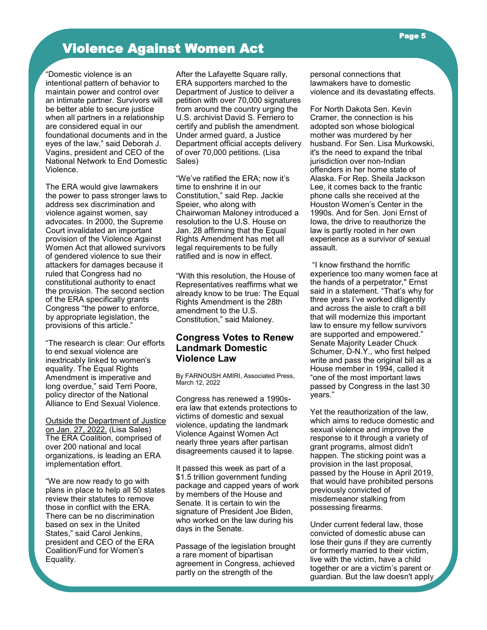## Violence Against Women Act

"Domestic violence is an intentional pattern of behavior to maintain power and control over an intimate partner. Survivors will be better able to secure justice when all partners in a relationship are considered equal in our foundational documents and in the eyes of the law," [said](https://oversight.house.gov/news/press-releases/maloney-and-speier-unveil-resolution-recognizing-the-equal-rights-amendment-as#:~:text=On%20January%2027%2C%202020%2C%20the,effect%20two%20years%20after%20ratification.) Deborah J. Vagins, president and CEO of the National Network to End Domestic Violence.

The ERA would give lawmakers the power to pass stronger laws to address sex discrimination and violence against women, say advocates. In 2000, the Supreme Court invalidated an important provision of the Violence Against Women Act that allowed survivors of gendered violence to sue their attackers for damages because it ruled that Congress had no constitutional authority to enact the provision. The second section of the ERA specifically grants Congress "the power to enforce, by appropriate legislation, the provisions of this article."

"The research is clear: Our efforts to end sexual violence are inextricably linked to women's equality. The Equal Rights Amendment is imperative and long overdue," [said](https://oversight.house.gov/news/press-releases/maloney-and-speier-unveil-resolution-recognizing-the-equal-rights-amendment-as#:~:text=On%20January%2027%2C%202020%2C%20the,effect%20two%20years%20after%20ratification.) Terri Poore, policy director of the National Alliance to End Sexual Violence.

Outside the Department of Justice on Jan. 27, 2022. (Lisa Sales) The ERA Coalition, comprised of over 200 national and local organizations, is leading an ERA implementation effort.

"We are now ready to go with plans in place to help all 50 states review their statutes to remove those in conflict with the ERA. There can be no discrimination based on sex in the United States," [said](https://www.youtube.com/watch?v=sOlNl59QjNI) Carol Jenkins, president and CEO of the ERA Coalition/Fund for Women's Equality.

After the Lafayette Square rally, ERA supporters marched to the Department of Justice to deliver a petition with over 70,000 signatures from around the country urging the U.S. archivist David S. Ferriero to certify and publish the amendment. Under armed guard, a Justice Department official accepts delivery of over 70,000 petitions. (Lisa Sales)

"We've ratified the ERA; now it's time to enshrine it in our Constitution," [said](https://oversight.house.gov/news/press-releases/maloney-and-speier-unveil-resolution-recognizing-the-equal-rights-amendment-as#:~:text=On%20January%2027%2C%202020%2C%20the,effect%20two%20years%20after%20ratification.) Rep. Jackie Speier, who along with Chairwoman Maloney [introduced a](https://msmagazine.com/2022/01/27/equal-rights-amendment-resolution-us-house-28th-amendment-constitution/)  [resolution t](https://msmagazine.com/2022/01/27/equal-rights-amendment-resolution-us-house-28th-amendment-constitution/)o the U.S. House on Jan. 28 affirming that the Equal Rights Amendment has met all legal requirements to be fully ratified and is now in effect.

"With this resolution, the House of Representatives reaffirms what we already know to be true: The Equal Rights Amendment is the 28th amendment to the U.S. Constitution," [said](https://oversight.house.gov/news/press-releases/maloney-and-speier-unveil-resolution-recognizing-the-equal-rights-amendment-as#:~:text=On%20January%2027%2C%202020%2C%20the,effect%20two%20years%20after%20ratification.) Maloney.

#### **Congress Votes to Renew Landmark Domestic Violence Law**

By FARNOUSH AMIRI, Associated Press, March 12, 2022

Congress has renewed a 1990sera law that extends protections to victims of domestic and sexual violence, updating the landmark Violence Against Women Act nearly three years after partisan disagreements caused it to lapse.

It passed this week as part of a \$1.5 trillion government funding package and capped years of work by members of the House and Senate. It is certain to win the signature of President Joe Biden, who worked on the law during his days in the Senate.

Passage of the legislation brought a rare moment of bipartisan agreement in Congress, achieved partly on the strength of the

personal connections that lawmakers have to domestic violence and its devastating effects.

For North Dakota Sen. Kevin Cramer, the connection is his adopted son whose biological mother was murdered by her husband. For Sen. Lisa Murkowski, it's the need to expand the tribal jurisdiction over non-Indian offenders in her home state of Alaska. For Rep. Sheila Jackson Lee, it comes back to the frantic phone calls she received at the Houston Women's Center in the 1990s. And for Sen. Joni Ernst of Iowa, the drive to reauthorize the law is partly rooted in her own experience as a survivor of sexual assault.

"I know firsthand the horrific experience too many women face at the hands of a perpetrator," Ernst said in a statement. "That's why for three years I've worked diligently and across the aisle to craft a bill that will modernize this important law to ensure my fellow survivors are supported and empowered." Senate Majority Leader Chuck Schumer, D-N.Y., who first helped write and pass the original bill as a House member in 1994, called it "one of the most important laws passed by Congress in the last 30 years."

Yet the reauthorization of the law, which aims to reduce domestic and sexual violence and improve the response to it through a variety of grant programs, almost didn't happen. The sticking point was a provision in the last proposal, passed by the House in April 2019, that would have prohibited persons previously convicted of misdemeanor stalking from possessing firearms.

Under current federal law, those convicted of domestic abuse can lose their guns if they are currently or formerly married to their victim, live with the victim, have a child together or are a victim's parent or guardian. But the law doesn't apply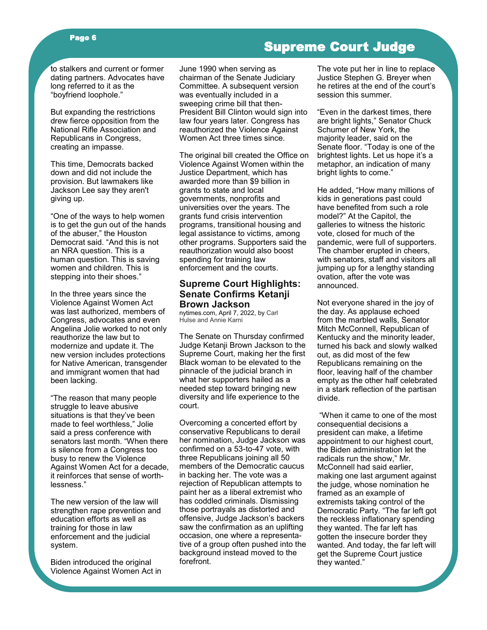#### Page 6

## Supreme Court Judge

to stalkers and current or former dating partners. Advocates have long referred to it as the "boyfriend loophole."

But expanding the restrictions drew fierce opposition from the National Rifle Association and Republicans in Congress, creating an impasse.

This time, Democrats backed down and did not include the provision. But lawmakers like Jackson Lee say they aren't giving up.

"One of the ways to help women is to get the gun out of the hands of the abuser," the Houston Democrat said. "And this is not an NRA question. This is a human question. This is saving women and children. This is stepping into their shoes."

In the three years since the Violence Against Women Act was last authorized, members of Congress, advocates and even Angelina Jolie worked to not only reauthorize the law but to modernize and update it. The new version includes protections for Native American, transgender and immigrant women that had been lacking.

"The reason that many people struggle to leave abusive situations is that they've been made to feel worthless," Jolie said a press conference with senators last month. "When there is silence from a Congress too busy to renew the Violence Against Women Act for a decade, it reinforces that sense of worthlessness."

The new version of the law will strengthen rape prevention and education efforts as well as training for those in law enforcement and the judicial system.

Biden introduced the original Violence Against Women Act in

June 1990 when serving as chairman of the Senate Judiciary Committee. A subsequent version was eventually included in a sweeping crime bill that then-President Bill Clinton would sign into law four years later. Congress has reauthorized the Violence Against Women Act three times since.

The original bill created the Office on Violence Against Women within the Justice Department, which has awarded more than \$9 billion in grants to state and local governments, nonprofits and universities over the years. The grants fund crisis intervention programs, transitional housing and legal assistance to victims, among other programs. Supporters said the reauthorization would also boost spending for training law enforcement and the courts.

#### **Supreme Court Highlights: Senate Confirms Ketanji Brown Jackson**

nytimes.com, April 7, 2022, by [Carl](https://www.nytimes.com/by/carl-hulse)  [Hulse](https://www.nytimes.com/by/carl-hulse) and [Annie Karni](https://www.nytimes.com/by/annie-karni)

The Senate on Thursday confirmed Judge Ketanji Brown Jackson to the Supreme Court, making her the first Black woman to be elevated to the pinnacle of the judicial branch in what her supporters hailed as a needed step toward bringing new diversity and life experience to the court.

Overcoming a concerted effort by conservative Republicans to derail her nomination, Judge Jackson was confirmed on a 53-to-47 vote, with three Republicans joining all 50 members of the Democratic caucus in backing her. The vote was a rejection of Republican attempts to paint her as a liberal extremist who has coddled criminals. Dismissing those portrayals as distorted and offensive, Judge Jackson's backers saw the confirmation as an uplifting occasion, one where a representative of a group often pushed into the background instead moved to the forefront.

The vote put her in line to replace Justice Stephen G. Breyer when he retires at the end of the court's session this summer.

"Even in the darkest times, there are bright lights," Senator Chuck Schumer of New York, the majority leader, said on the Senate floor. "Today is one of the brightest lights. Let us hope it's a metaphor, an indication of many bright lights to come."

He added, "How many millions of kids in generations past could have benefited from such a role model?" At the Capitol, the galleries to witness the historic vote, closed for much of the pandemic, were full of supporters. The chamber erupted in cheers, with senators, staff and visitors all jumping up for a lengthy standing ovation, after the vote was announced.

Not everyone shared in the joy of the day. As applause echoed from the marbled walls, Senator Mitch McConnell, Republican of Kentucky and the minority leader, turned his back and slowly walked out, as did most of the few Republicans remaining on the floor, leaving half of the chamber empty as the other half celebrated in a stark reflection of the partisan divide.

"When it came to one of the most consequential decisions a president can make, a lifetime appointment to our highest court, the Biden administration let the radicals run the show," Mr. McConnell had said earlier, making one last argument against the judge, whose nomination he framed as an example of extremists taking control of the Democratic Party. "The far left got the reckless inflationary spending they wanted. The far left has gotten the insecure border they wanted. And today, the far left will get the Supreme Court justice they wanted."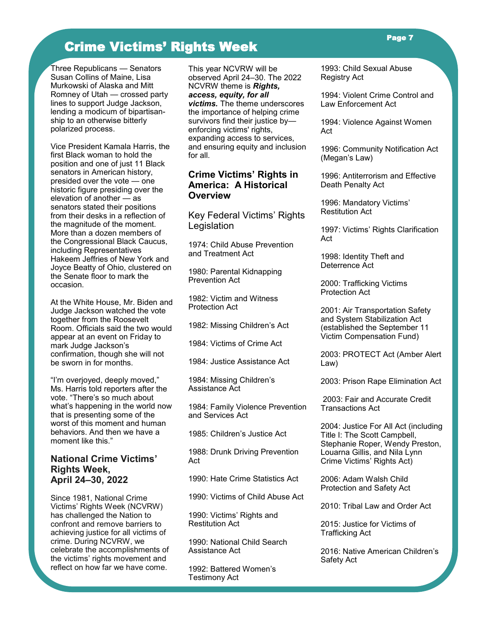## Crime Victims' Rights Week

Three Republicans — Senators Susan Collins of Maine, Lisa Murkowski of Alaska and Mitt Romney of Utah — crossed party lines to support Judge Jackson, lending a modicum of bipartisanship to an otherwise bitterly polarized process.

Vice President Kamala Harris, the first Black woman to hold the position and [one of just 11 Black](https://www.senate.gov/pagelayout/history/h_multi_sections_and_teasers/Photo_Exhibit_African_American_Senators.html)  [senators in American history,](https://www.senate.gov/pagelayout/history/h_multi_sections_and_teasers/Photo_Exhibit_African_American_Senators.html) presided over the vote — one historic figure presiding over the elevation of another — as senators stated their positions from their desks in a reflection of the magnitude of the moment. More than a dozen members of the Congressional Black Caucus, including Representatives Hakeem Jeffries of New York and Joyce Beatty of Ohio, clustered on the Senate floor to mark the occasion.

At the White House, Mr. Biden and Judge Jackson watched the vote together from the Roosevelt Room. Officials said the two would appear at an event on Friday to mark Judge Jackson's confirmation, though she will not be sworn in for months.

"I'm overjoyed, deeply moved," Ms. Harris told reporters after the vote. "There's so much about what's happening in the world now that is presenting some of the worst of this moment and human behaviors. And then we have a moment like this."

#### **National Crime Victims' Rights Week, April 24–30, 2022**

Since 1981, National Crime Victims' Rights Week (NCVRW) has challenged the Nation to confront and remove barriers to achieving justice for all victims of crime. During NCVRW, we celebrate the accomplishments of the victims' rights movement and reflect on how far we have come.

This year NCVRW will be observed April 24–30. The 2022 NCVRW theme is *Rights, access, equity, for all victims.* The theme underscores the importance of helping crime survivors find their justice byenforcing victims' rights, expanding access to services, and ensuring equity and inclusion for all.

#### **Crime Victims' Rights in America: A Historical Overview**

Key Federal Victims' Rights **Legislation** 

1974: Child Abuse Prevention and Treatment Act

1980: Parental Kidnapping Prevention Act

1982: Victim and Witness Protection Act

1982: Missing Children's Act

1984: Victims of Crime Act

1984: Justice Assistance Act

1984: Missing Children's Assistance Act

1984: Family Violence Prevention and Services Act

1985: Children's Justice Act

1988: Drunk Driving Prevention Act

1990: Hate Crime Statistics Act

1990: Victims of Child Abuse Act

1990: Victims' Rights and Restitution Act

1990: National Child Search Assistance Act

1992: Battered Women's Testimony Act

1993: Child Sexual Abuse Registry Act

1994: Violent Crime Control and Law Enforcement Act

1994: Violence Against Women Act

1996: Community Notification Act (Megan's Law)

1996: Antiterrorism and Effective Death Penalty Act

1996: Mandatory Victims' Restitution Act

1997: Victims' Rights Clarification Act

1998: Identity Theft and Deterrence Act

2000: Trafficking Victims Protection Act

2001: Air Transportation Safety and System Stabilization Act (established the September 11 Victim Compensation Fund)

2003: PROTECT Act (Amber Alert Law)

2003: Prison Rape Elimination Act

2003: Fair and Accurate Credit Transactions Act

2004: Justice For All Act (including Title I: The Scott Campbell, Stephanie Roper, Wendy Preston, Louarna Gillis, and Nila Lynn Crime Victims' Rights Act)

2006: Adam Walsh Child Protection and Safety Act

2010: Tribal Law and Order Act

2015: Justice for Victims of Trafficking Act

2016: Native American Children's Safety Act

#### Page 7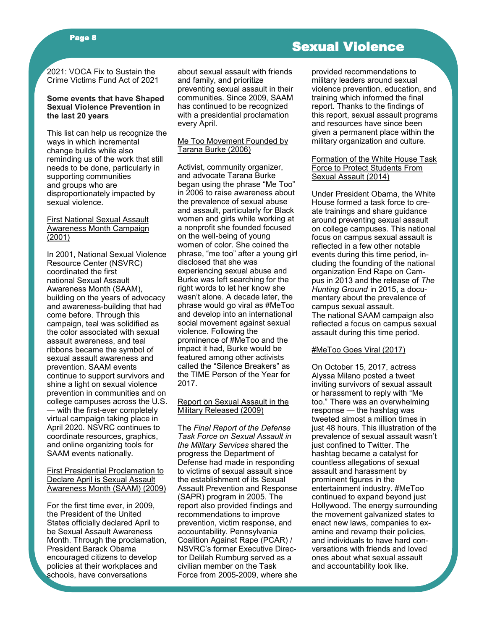#### Page 8

#### 2021: VOCA Fix to Sustain the Crime Victims Fund Act of 2021

#### **Some events that have Shaped Sexual Violence Prevention in the last 20 years**

This list can help us recognize the ways in which incremental change builds while also reminding us of the work that still needs to be done, particularly in supporting communities and [groups who are](https://www.nsvrc.org/blogs/seeing-whole-survivor-why-its-necessary-talk-about-identity-survivors-individuals-and-groups)  [disproportionately impacted by](https://www.nsvrc.org/blogs/seeing-whole-survivor-why-its-necessary-talk-about-identity-survivors-individuals-and-groups)  [sexual violence.](https://www.nsvrc.org/blogs/seeing-whole-survivor-why-its-necessary-talk-about-identity-survivors-individuals-and-groups)

#### First National Sexual Assault Awareness Month Campaign (2001)

In 2001, National Sexual Violence Resource Center (NSVRC) coordinated the first national [Sexual Assault](https://www.nsvrc.org/saam/history)  [Awareness Month](https://www.nsvrc.org/saam/history) (SAAM), building on the years of advocacy and awareness-building that had come before. Through this campaign, teal was solidified as the color associated with sexual assault awareness, and teal ribbons became the symbol of sexual assault awareness and prevention. SAAM events continue to support survivors and shine a light on sexual violence prevention in communities and on college campuses across the U.S. — with the first-[ever completely](https://medium.com/@NSVRC/five-takeaways-from-the-first-ever-completely-virtual-sexual-assault-awareness-month-22dad6eb217)  [virtual campaign taking place in](https://medium.com/@NSVRC/five-takeaways-from-the-first-ever-completely-virtual-sexual-assault-awareness-month-22dad6eb217)  [April 2020.](https://medium.com/@NSVRC/five-takeaways-from-the-first-ever-completely-virtual-sexual-assault-awareness-month-22dad6eb217) NSVRC continues to coordinate resources, graphics, and online organizing tools for SAAM events nationally.

#### First Presidential Proclamation to Declare April is Sexual Assault Awareness Month (SAAM) (2009)

For the first time ever, in 2009, the President of the United States [officially declared April](https://obamawhitehouse.archives.gov/the-press-office/presidential-proclamation-marking-national-sexual-assault-awarness-month-2009) to be Sexual Assault Awareness Month. Through the proclamation, President Barack Obama encouraged citizens to develop policies at their workplaces and schools, have conversations

about sexual assault with friends and family, and prioritize preventing sexual assault in their communities. Since 2009, SAAM has continued to be recognized with a presidential proclamation every April.

#### Me Too Movement Founded by Tarana Burke (2006)

Activist, community organizer, and advocate Tarana Burke began using the phrase ["Me Too"](https://justbeinc.wixsite.com/justbeinc/the-me-too-movement-cmml)  [in 2006](https://justbeinc.wixsite.com/justbeinc/the-me-too-movement-cmml) to raise awareness about the prevalence of sexual abuse and assault, particularly for Black women and girls while working at a nonprofit she founded focused on the well-being of young women of color. She coined the phrase, "me too" after [a young girl](https://www.biography.com/activist/tarana-burke)  [disclosed](https://www.biography.com/activist/tarana-burke) that she was experiencing sexual abuse and Burke was left searching for the right words to let her know she wasn't alone. A decade later, the phrase would go viral as #MeToo and develop into an international social movement against sexual violence. Following the prominence of #MeToo and the impact it had, Burke would be featured among other activists called the ["Silence Breakers" as](https://time.com/time-person-of-the-year-2017-silence-breakers/)  [the TIME Person of the Year for](https://time.com/time-person-of-the-year-2017-silence-breakers/)  [2017.](https://time.com/time-person-of-the-year-2017-silence-breakers/)

#### Report on Sexual Assault in the Military Released (2009)

The *[Final Report of the Defense](http://www.ncdsv.org/images/SAPR_DTFSAMS_Report_Dec_2009.pdf)  [Task Force on Sexual Assault in](http://www.ncdsv.org/images/SAPR_DTFSAMS_Report_Dec_2009.pdf)  [the Military Services](http://www.ncdsv.org/images/SAPR_DTFSAMS_Report_Dec_2009.pdf)* shared the progress the Department of Defense had made in responding to victims of sexual assault since the establishment of its [Sexual](https://www.sapr.mil/)  [Assault Prevention and Response](https://www.sapr.mil/)  [\(SAPR\) program](https://www.sapr.mil/) in 2005. The report also provided findings and recommendations to improve prevention, victim response, and accountability. Pennsylvania Coalition Against Rape (PCAR) / NSVRC's former Executive Director Delilah Rumburg [served as a](https://www.pennlive.com/midstate/2013/06/military_sexual_assaults_task.html)  [civilian member on the Task](https://www.pennlive.com/midstate/2013/06/military_sexual_assaults_task.html)  [Force](https://www.pennlive.com/midstate/2013/06/military_sexual_assaults_task.html) from 2005-2009, where she

## Sexual Violence

provided recommendations to military leaders around sexual violence prevention, education, and training which informed the final report. Thanks to the findings of this report, [sexual assault programs](https://www.nsvrc.org/blogs/military-sexual-trauma-resource-list)  [and resources](https://www.nsvrc.org/blogs/military-sexual-trauma-resource-list) have since been given a permanent place within the military organization and culture.

#### Formation of the White House Task Force to Protect Students From Sexual Assault (2014)

Under President Obama, the White House formed a [task force](https://obamawhitehouse.archives.gov/the-press-office/2014/01/22/memorandum-establishing-white-house-task-force-protect-students-sexual-a) to create trainings and share guidance around preventing sexual assault on college campuses. This national focus on campus sexual assault is reflected in a few other notable events during this time period, including the founding of the national organization [End Rape on Cam](https://endrapeoncampus.org/)[pus](https://endrapeoncampus.org/) in 2013 and the release of *[The](https://www.cnn.com/shows/the-hunting-ground)  [Hunting Ground](https://www.cnn.com/shows/the-hunting-ground)* in 2015, a documentary about the prevalence of campus sexual assault. The [national SAAM campaign](https://www.nsvrc.org/saam/2015) also reflected a focus on campus sexual assault during this time period.

#### #MeToo Goes Viral (2017)

On October 15, 2017, actress Alyssa Milano posted a tweet inviting survivors of sexual assault or harassment to reply with ["Me](https://twitter.com/alyssa_milano/status/919659438700670976?lang=en)  [too."](https://twitter.com/alyssa_milano/status/919659438700670976?lang=en) There was an overwhelming response — the hashtag was tweeted [almost a million times](https://www.cbsnews.com/news/metoo-more-than-12-million-facebook-posts-comments-reactions-24-hours/) in just 48 hours. This illustration of the prevalence of sexual assault wasn't just confined to Twitter. The hashtag became a catalyst for countless allegations of sexual assault and harassment by prominent figures in the entertainment industry. #MeToo continued to expand beyond just Hollywood. The energy surrounding the movement galvanized states to enact new laws, companies to examine and revamp their policies, and individuals to have hard conversations with friends and loved ones about what sexual assault and accountability look like.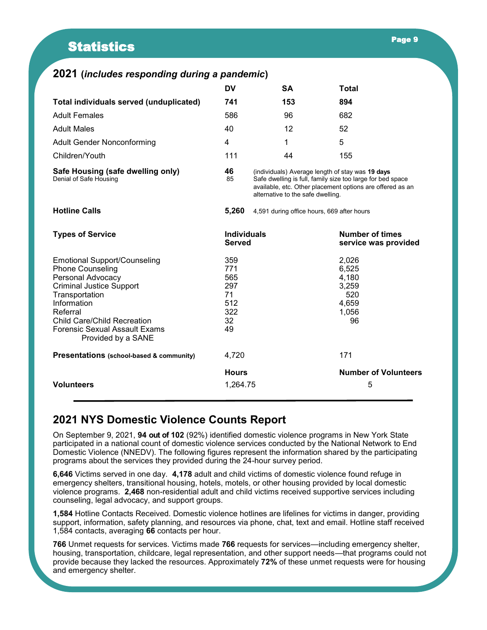## **Statistics**

| 2021 (includes responding during a pandemic)                                                                                                                                                                                                                            |                                                          |                                                                                                                                                                                                                  |                                                                 |  |
|-------------------------------------------------------------------------------------------------------------------------------------------------------------------------------------------------------------------------------------------------------------------------|----------------------------------------------------------|------------------------------------------------------------------------------------------------------------------------------------------------------------------------------------------------------------------|-----------------------------------------------------------------|--|
|                                                                                                                                                                                                                                                                         | <b>DV</b>                                                | <b>SA</b>                                                                                                                                                                                                        | <b>Total</b>                                                    |  |
| Total individuals served (unduplicated)                                                                                                                                                                                                                                 | 741                                                      | 153                                                                                                                                                                                                              | 894                                                             |  |
| <b>Adult Females</b>                                                                                                                                                                                                                                                    | 586                                                      | 96                                                                                                                                                                                                               | 682                                                             |  |
| <b>Adult Males</b>                                                                                                                                                                                                                                                      | 40                                                       | $12 \overline{ }$                                                                                                                                                                                                | 52                                                              |  |
| <b>Adult Gender Nonconforming</b>                                                                                                                                                                                                                                       | 4                                                        | $\mathbf{1}$                                                                                                                                                                                                     | 5                                                               |  |
| Children/Youth                                                                                                                                                                                                                                                          | 111                                                      | 44                                                                                                                                                                                                               | 155                                                             |  |
| Safe Housing (safe dwelling only)<br>Denial of Safe Housing                                                                                                                                                                                                             | 46<br>85                                                 | (individuals) Average length of stay was 19 days<br>Safe dwelling is full, family size too large for bed space<br>available, etc. Other placement options are offered as an<br>alternative to the safe dwelling. |                                                                 |  |
| <b>Hotline Calls</b>                                                                                                                                                                                                                                                    | 5,260                                                    | 4,591 during office hours, 669 after hours                                                                                                                                                                       |                                                                 |  |
| <b>Types of Service</b>                                                                                                                                                                                                                                                 | <b>Individuals</b><br><b>Served</b>                      |                                                                                                                                                                                                                  | <b>Number of times</b><br>service was provided                  |  |
| <b>Emotional Support/Counseling</b><br><b>Phone Counseling</b><br>Personal Advocacy<br><b>Criminal Justice Support</b><br>Transportation<br>Information<br>Referral<br><b>Child Care/Child Recreation</b><br><b>Forensic Sexual Assault Exams</b><br>Provided by a SANE | 359<br>771<br>565<br>297<br>71<br>512<br>322<br>32<br>49 |                                                                                                                                                                                                                  | 2,026<br>6,525<br>4,180<br>3,259<br>520<br>4,659<br>1,056<br>96 |  |
| Presentations (school-based & community)                                                                                                                                                                                                                                | 4,720                                                    |                                                                                                                                                                                                                  | 171                                                             |  |
|                                                                                                                                                                                                                                                                         | <b>Hours</b>                                             |                                                                                                                                                                                                                  | <b>Number of Volunteers</b>                                     |  |
| <b>Volunteers</b>                                                                                                                                                                                                                                                       | 1,264.75                                                 |                                                                                                                                                                                                                  | 5                                                               |  |

## **2021 NYS Domestic Violence Counts Report**

On September 9, 2021, **94 out of 102** (92%) identified domestic violence programs in New York State participated in a national count of domestic violence services conducted by the National Network to End Domestic Violence (NNEDV). The following figures represent the information shared by the participating programs about the services they provided during the 24-hour survey period.

**6,646** Victims served in one day. **4,178** adult and child victims of domestic violence found refuge in emergency shelters, transitional housing, hotels, motels, or other housing provided by local domestic violence programs. **2,468** non-residential adult and child victims received supportive services including counseling, legal advocacy, and support groups.

**1,584** Hotline Contacts Received. Domestic violence hotlines are lifelines for victims in danger, providing support, information, safety planning, and resources via phone, chat, text and email. Hotline staff received 1,584 contacts, averaging **66** contacts per hour.

**766** Unmet requests for services. Victims made **766** requests for services—including emergency shelter, housing, transportation, childcare, legal representation, and other support needs—that programs could not provide because they lacked the resources. Approximately **72%** of these unmet requests were for housing and emergency shelter.

#### Page 9